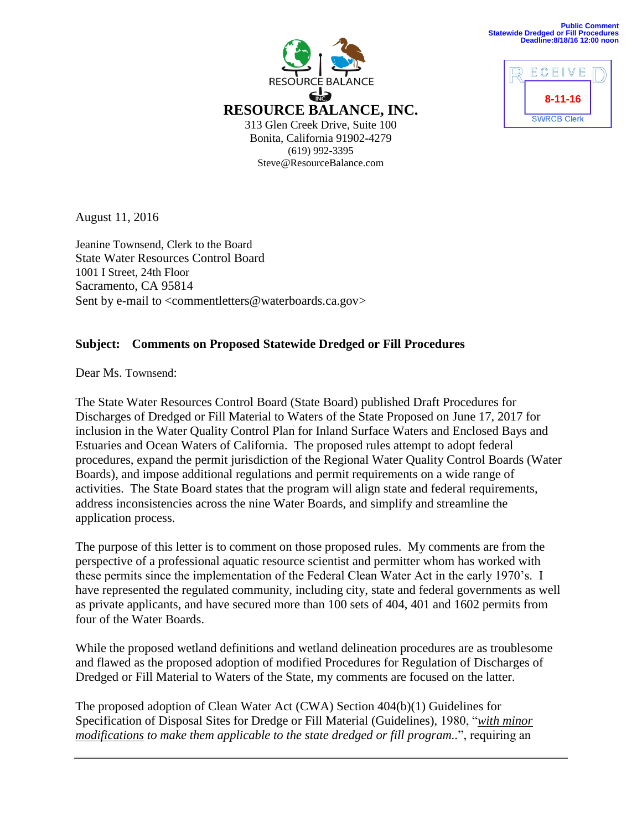



August 11, 2016

Jeanine Townsend, Clerk to the Board State Water Resources Control Board 1001 I Street, 24th Floor Sacramento, CA 95814 Sent by e-mail to <commentletters@waterboards.ca.gov>

## **Subject: Comments on Proposed Statewide Dredged or Fill Procedures**

Dear Ms. Townsend:

The State Water Resources Control Board (State Board) published Draft Procedures for Discharges of Dredged or Fill Material to Waters of the State Proposed on June 17, 2017 for inclusion in the Water Quality Control Plan for Inland Surface Waters and Enclosed Bays and Estuaries and Ocean Waters of California. The proposed rules attempt to adopt federal procedures, expand the permit jurisdiction of the Regional Water Quality Control Boards (Water Boards), and impose additional regulations and permit requirements on a wide range of activities. The State Board states that the program will align state and federal requirements, address inconsistencies across the nine Water Boards, and simplify and streamline the application process.

The purpose of this letter is to comment on those proposed rules. My comments are from the perspective of a professional aquatic resource scientist and permitter whom has worked with these permits since the implementation of the Federal Clean Water Act in the early 1970's. I have represented the regulated community, including city, state and federal governments as well as private applicants, and have secured more than 100 sets of 404, 401 and 1602 permits from four of the Water Boards.

While the proposed wetland definitions and wetland delineation procedures are as troublesome and flawed as the proposed adoption of modified Procedures for Regulation of Discharges of Dredged or Fill Material to Waters of the State, my comments are focused on the latter.

The proposed adoption of Clean Water Act (CWA) Section 404(b)(1) Guidelines for Specification of Disposal Sites for Dredge or Fill Material (Guidelines), 1980, "*with minor modifications to make them applicable to the state dredged or fill program..*", requiring an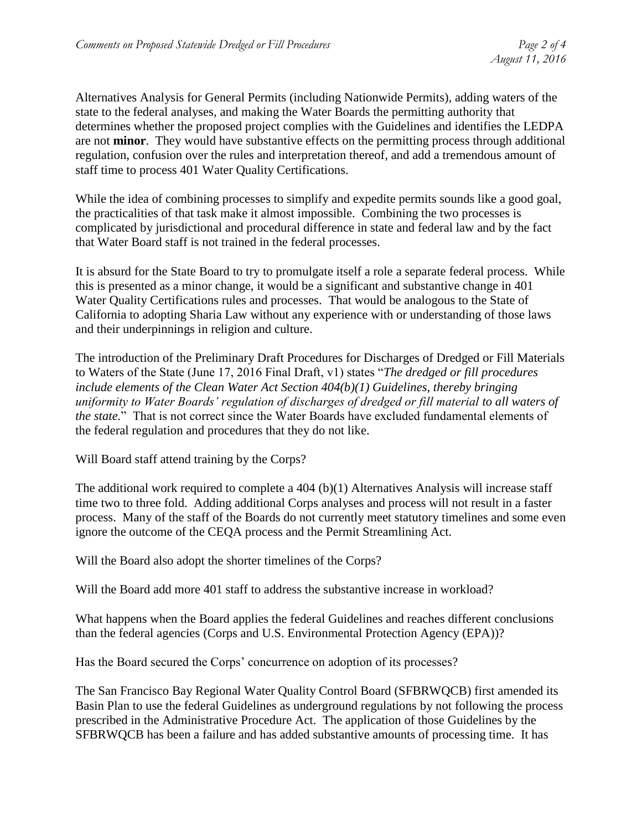Alternatives Analysis for General Permits (including Nationwide Permits), adding waters of the state to the federal analyses, and making the Water Boards the permitting authority that determines whether the proposed project complies with the Guidelines and identifies the LEDPA are not **minor**. They would have substantive effects on the permitting process through additional regulation, confusion over the rules and interpretation thereof, and add a tremendous amount of staff time to process 401 Water Quality Certifications.

While the idea of combining processes to simplify and expedite permits sounds like a good goal, the practicalities of that task make it almost impossible. Combining the two processes is complicated by jurisdictional and procedural difference in state and federal law and by the fact that Water Board staff is not trained in the federal processes.

It is absurd for the State Board to try to promulgate itself a role a separate federal process. While this is presented as a minor change, it would be a significant and substantive change in 401 Water Quality Certifications rules and processes. That would be analogous to the State of California to adopting Sharia Law without any experience with or understanding of those laws and their underpinnings in religion and culture.

The introduction of the Preliminary Draft Procedures for Discharges of Dredged or Fill Materials to Waters of the State (June 17, 2016 Final Draft, v1) states "*The dredged or fill procedures include elements of the Clean Water Act Section 404(b)(1) Guidelines, thereby bringing uniformity to Water Boards' regulation of discharges of dredged or fill material to all waters of the state.*" That is not correct since the Water Boards have excluded fundamental elements of the federal regulation and procedures that they do not like.

Will Board staff attend training by the Corps?

The additional work required to complete a 404 (b)(1) Alternatives Analysis will increase staff time two to three fold. Adding additional Corps analyses and process will not result in a faster process. Many of the staff of the Boards do not currently meet statutory timelines and some even ignore the outcome of the CEQA process and the Permit Streamlining Act.

Will the Board also adopt the shorter timelines of the Corps?

Will the Board add more 401 staff to address the substantive increase in workload?

What happens when the Board applies the federal Guidelines and reaches different conclusions than the federal agencies (Corps and U.S. Environmental Protection Agency (EPA))?

Has the Board secured the Corps' concurrence on adoption of its processes?

The San Francisco Bay Regional Water Quality Control Board (SFBRWQCB) first amended its Basin Plan to use the federal Guidelines as underground regulations by not following the process prescribed in the Administrative Procedure Act. The application of those Guidelines by the SFBRWQCB has been a failure and has added substantive amounts of processing time. It has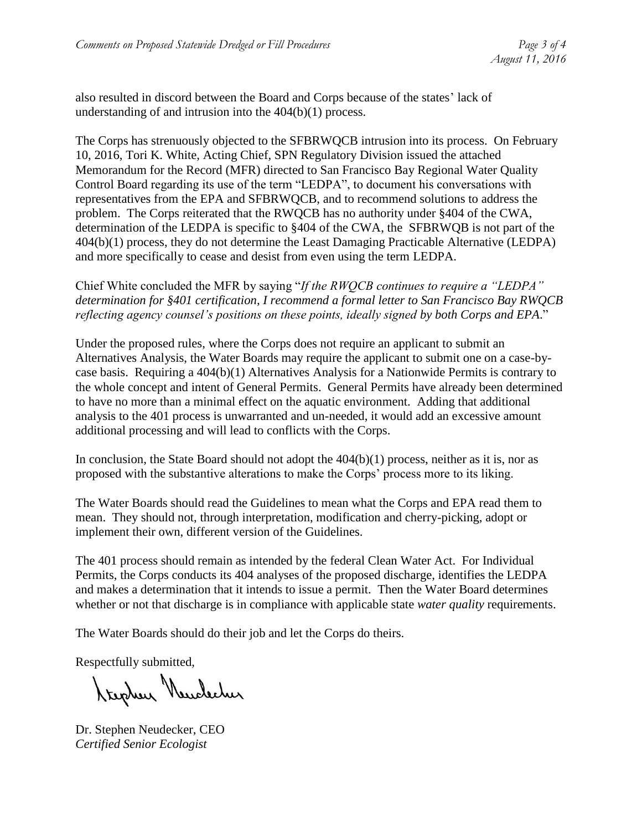also resulted in discord between the Board and Corps because of the states' lack of understanding of and intrusion into the 404(b)(1) process.

The Corps has strenuously objected to the SFBRWQCB intrusion into its process. On February 10, 2016, Tori K. White, Acting Chief, SPN Regulatory Division issued the attached Memorandum for the Record (MFR) directed to San Francisco Bay Regional Water Quality Control Board regarding its use of the term "LEDPA", to document his conversations with representatives from the EPA and SFBRWQCB, and to recommend solutions to address the problem. The Corps reiterated that the RWQCB has no authority under §404 of the CWA, determination of the LEDPA is specific to §404 of the CWA, the SFBRWQB is not part of the 404(b)(1) process, they do not determine the Least Damaging Practicable Alternative (LEDPA) and more specifically to cease and desist from even using the term LEDPA.

Chief White concluded the MFR by saying "*If the RWQCB continues to require a "LEDPA" determination for §401 certification, I recommend a formal letter to San Francisco Bay RWQCB reflecting agency counsel's positions on these points, ideally signed by both Corps and EPA*."

Under the proposed rules, where the Corps does not require an applicant to submit an Alternatives Analysis, the Water Boards may require the applicant to submit one on a case-bycase basis. Requiring a 404(b)(1) Alternatives Analysis for a Nationwide Permits is contrary to the whole concept and intent of General Permits. General Permits have already been determined to have no more than a minimal effect on the aquatic environment. Adding that additional analysis to the 401 process is unwarranted and un-needed, it would add an excessive amount additional processing and will lead to conflicts with the Corps.

In conclusion, the State Board should not adopt the  $404(b)(1)$  process, neither as it is, nor as proposed with the substantive alterations to make the Corps' process more to its liking.

The Water Boards should read the Guidelines to mean what the Corps and EPA read them to mean. They should not, through interpretation, modification and cherry-picking, adopt or implement their own, different version of the Guidelines.

The 401 process should remain as intended by the federal Clean Water Act. For Individual Permits, the Corps conducts its 404 analyses of the proposed discharge, identifies the LEDPA and makes a determination that it intends to issue a permit. Then the Water Board determines whether or not that discharge is in compliance with applicable state *water quality* requirements.

The Water Boards should do their job and let the Corps do theirs.

Respectfully submitted,

Krighen Newclecher

Dr. Stephen Neudecker, CEO *Certified Senior Ecologist*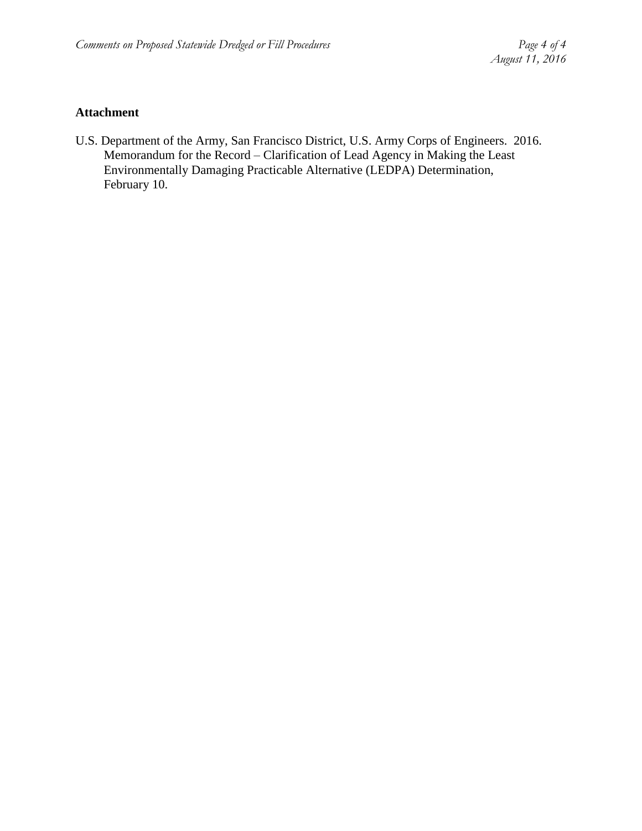## **Attachment**

U.S. Department of the Army, San Francisco District, U.S. Army Corps of Engineers. 2016. Memorandum for the Record – Clarification of Lead Agency in Making the Least Environmentally Damaging Practicable Alternative (LEDPA) Determination, February 10.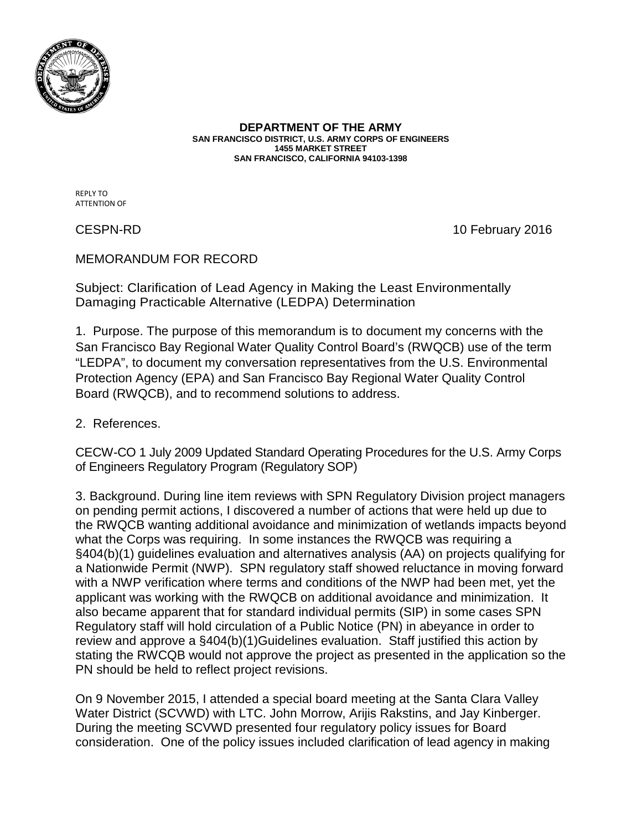

**DEPARTMENT OF THE ARMY SAN FRANCISCO DISTRICT, U.S. ARMY CORPS OF ENGINEERS 1455 MARKET STREET SAN FRANCISCO, CALIFORNIA 94103-1398**

REPLY TO ATTENTION OF

CESPN-RD 10 February 2016

## MEMORANDUM FOR RECORD

Subject: Clarification of Lead Agency in Making the Least Environmentally Damaging Practicable Alternative (LEDPA) Determination

1. Purpose. The purpose of this memorandum is to document my concerns with the San Francisco Bay Regional Water Quality Control Board's (RWQCB) use of the term "LEDPA", to document my conversation representatives from the U.S. Environmental Protection Agency (EPA) and San Francisco Bay Regional Water Quality Control Board (RWQCB), and to recommend solutions to address.

2. References.

CECW-CO 1 July 2009 Updated Standard Operating Procedures for the U.S. Army Corps of Engineers Regulatory Program (Regulatory SOP)

3. Background. During line item reviews with SPN Regulatory Division project managers on pending permit actions, I discovered a number of actions that were held up due to the RWQCB wanting additional avoidance and minimization of wetlands impacts beyond what the Corps was requiring. In some instances the RWQCB was requiring a §404(b)(1) guidelines evaluation and alternatives analysis (AA) on projects qualifying for a Nationwide Permit (NWP). SPN regulatory staff showed reluctance in moving forward with a NWP verification where terms and conditions of the NWP had been met, yet the applicant was working with the RWQCB on additional avoidance and minimization. It also became apparent that for standard individual permits (SIP) in some cases SPN Regulatory staff will hold circulation of a Public Notice (PN) in abeyance in order to review and approve a §404(b)(1)Guidelines evaluation. Staff justified this action by stating the RWCQB would not approve the project as presented in the application so the PN should be held to reflect project revisions.

On 9 November 2015, I attended a special board meeting at the Santa Clara Valley Water District (SCVWD) with LTC. John Morrow, Arijis Rakstins, and Jay Kinberger. During the meeting SCVWD presented four regulatory policy issues for Board consideration. One of the policy issues included clarification of lead agency in making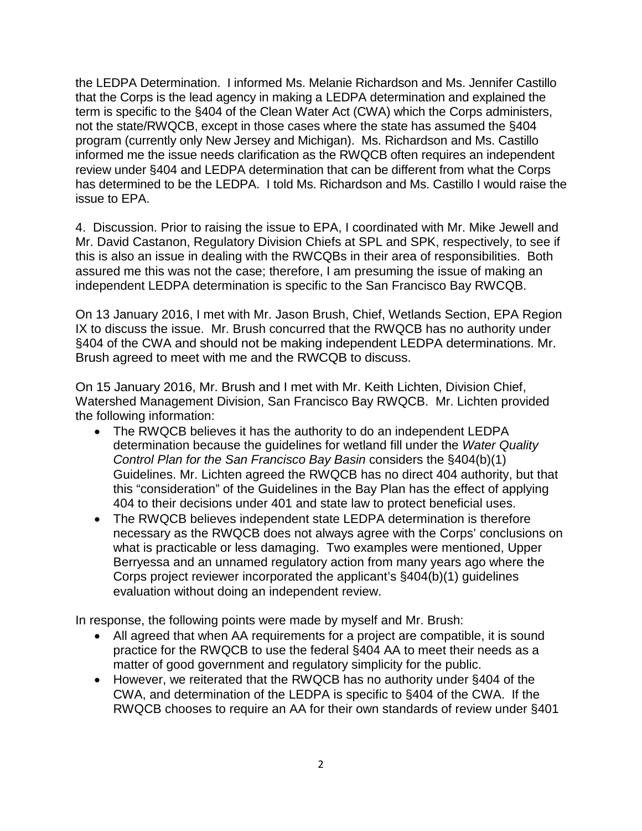the LEDPA Determination. I informed Ms. Melanie Richardson and Ms. Jennifer Castillo that the Corps is the lead agency in making a LEDPA determination and explained the term is specific to the §404 of the Clean Water Act (CWA) which the Corps administers, not the state/RWQCB, except in those cases where the state has assumed the §404 program (currently only New Jersey and Michigan). Ms. Richardson and Ms. Castillo informed me the issue needs clarification as the RWQCB often requires an independent review under §404 and LEDPA determination that can be different from what the Corps has determined to be the LEDPA. I told Ms. Richardson and Ms. Castillo I would raise the issue to EPA.

4. Discussion. Prior to raising the issue to EPA, I coordinated with Mr. Mike Jewell and Mr. David Castanon, Regulatory Division Chiefs at SPL and SPK, respectively, to see if this is also an issue in dealing with the RWCQBs in their area of responsibilities. Both assured me this was not the case; therefore, I am presuming the issue of making an independent LEDPA determination is specific to the San Francisco Bay RWCQB.

On 13 January 2016, I met with Mr. Jason Brush, Chief, Wetlands Section, EPA Region IX to discuss the issue. Mr. Brush concurred that the RWQCB has no authority under §404 of the CWA and should not be making independent LEDPA determinations. Mr. Brush agreed to meet with me and the RWCQB to discuss.

On 15 January 2016, Mr. Brush and I met with Mr. Keith Lichten, Division Chief, Watershed Management Division, San Francisco Bay RWQCB. Mr. Lichten provided the following information:

- The RWQCB believes it has the authority to do an independent LEDPA determination because the guidelines for wetland fill under the *Water Quality Control Plan for the San Francisco Bay Basin* considers the §404(b)(1) Guidelines. Mr. Lichten agreed the RWQCB has no direct 404 authority, but that this "consideration" of the Guidelines in the Bay Plan has the effect of applying 404 to their decisions under 401 and state law to protect beneficial uses.
- The RWQCB believes independent state LEDPA determination is therefore necessary as the RWQCB does not always agree with the Corps' conclusions on what is practicable or less damaging. Two examples were mentioned, Upper Berryessa and an unnamed regulatory action from many years ago where the Corps project reviewer incorporated the applicant's §404(b)(1) guidelines evaluation without doing an independent review.

In response, the following points were made by myself and Mr. Brush:

- All agreed that when AA requirements for a project are compatible, it is sound practice for the RWQCB to use the federal §404 AA to meet their needs as a matter of good government and regulatory simplicity for the public.
- However, we reiterated that the RWQCB has no authority under §404 of the CWA, and determination of the LEDPA is specific to §404 of the CWA. If the RWQCB chooses to require an AA for their own standards of review under §401